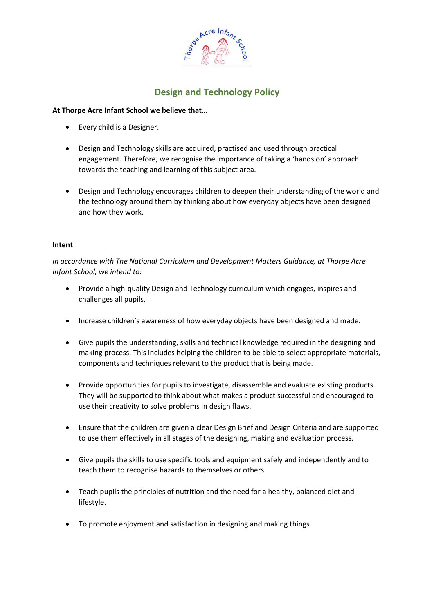

# **Design and Technology Policy**

## **At Thorpe Acre Infant School we believe that**…

- Every child is a Designer.
- Design and Technology skills are acquired, practised and used through practical engagement. Therefore, we recognise the importance of taking a 'hands on' approach towards the teaching and learning of this subject area.
- Design and Technology encourages children to deepen their understanding of the world and the technology around them by thinking about how everyday objects have been designed and how they work.

## **Intent**

*In accordance with The National Curriculum and Development Matters Guidance, at Thorpe Acre Infant School, we intend to:*

- Provide a high-quality Design and Technology curriculum which engages, inspires and challenges all pupils.
- Increase children's awareness of how everyday objects have been designed and made.
- Give pupils the understanding, skills and technical knowledge required in the designing and making process. This includes helping the children to be able to select appropriate materials, components and techniques relevant to the product that is being made.
- Provide opportunities for pupils to investigate, disassemble and evaluate existing products. They will be supported to think about what makes a product successful and encouraged to use their creativity to solve problems in design flaws.
- Ensure that the children are given a clear Design Brief and Design Criteria and are supported to use them effectively in all stages of the designing, making and evaluation process.
- Give pupils the skills to use specific tools and equipment safely and independently and to teach them to recognise hazards to themselves or others.
- Teach pupils the principles of nutrition and the need for a healthy, balanced diet and lifestyle.
- To promote enjoyment and satisfaction in designing and making things.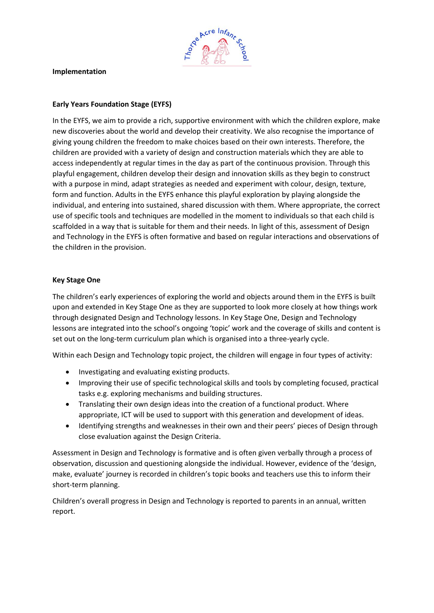

#### **Implementation**

## **Early Years Foundation Stage (EYFS)**

In the EYFS, we aim to provide a rich, supportive environment with which the children explore, make new discoveries about the world and develop their creativity. We also recognise the importance of giving young children the freedom to make choices based on their own interests. Therefore, the children are provided with a variety of design and construction materials which they are able to access independently at regular times in the day as part of the continuous provision. Through this playful engagement, children develop their design and innovation skills as they begin to construct with a purpose in mind, adapt strategies as needed and experiment with colour, design, texture, form and function. Adults in the EYFS enhance this playful exploration by playing alongside the individual, and entering into sustained, shared discussion with them. Where appropriate, the correct use of specific tools and techniques are modelled in the moment to individuals so that each child is scaffolded in a way that is suitable for them and their needs. In light of this, assessment of Design and Technology in the EYFS is often formative and based on regular interactions and observations of the children in the provision.

## **Key Stage One**

The children's early experiences of exploring the world and objects around them in the EYFS is built upon and extended in Key Stage One as they are supported to look more closely at how things work through designated Design and Technology lessons. In Key Stage One, Design and Technology lessons are integrated into the school's ongoing 'topic' work and the coverage of skills and content is set out on the long-term curriculum plan which is organised into a three-yearly cycle.

Within each Design and Technology topic project, the children will engage in four types of activity:

- Investigating and evaluating existing products.
- Improving their use of specific technological skills and tools by completing focused, practical tasks e.g. exploring mechanisms and building structures.
- Translating their own design ideas into the creation of a functional product. Where appropriate, ICT will be used to support with this generation and development of ideas.
- Identifying strengths and weaknesses in their own and their peers' pieces of Design through close evaluation against the Design Criteria.

Assessment in Design and Technology is formative and is often given verbally through a process of observation, discussion and questioning alongside the individual. However, evidence of the 'design, make, evaluate' journey is recorded in children's topic books and teachers use this to inform their short-term planning.

Children's overall progress in Design and Technology is reported to parents in an annual, written report.